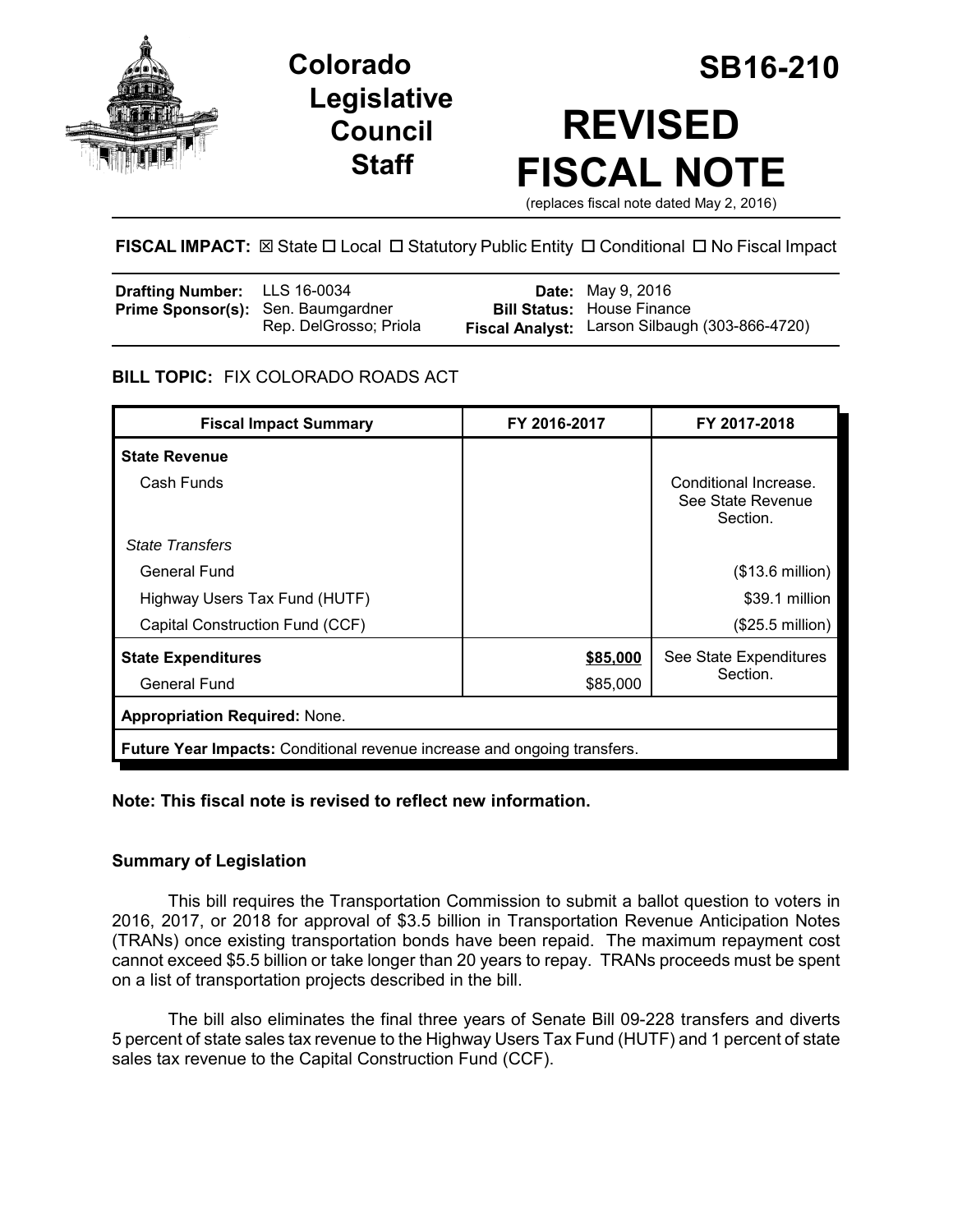

**Legislative Council Staff**

# **Colorado SB16-210 REVISED FISCAL NOTE**

(replaces fiscal note dated May 2, 2016)

# **FISCAL IMPACT:** ⊠ State □ Local □ Statutory Public Entity □ Conditional □ No Fiscal Impact

| <b>Drafting Number:</b> LLS 16-0034       |                        | <b>Date:</b> May 9, 2016                       |
|-------------------------------------------|------------------------|------------------------------------------------|
| <b>Prime Sponsor(s):</b> Sen. Baumgardner |                        | <b>Bill Status: House Finance</b>              |
|                                           | Rep. DelGrosso; Priola | Fiscal Analyst: Larson Silbaugh (303-866-4720) |

## **BILL TOPIC:** FIX COLORADO ROADS ACT

| <b>Fiscal Impact Summary</b>                                             | FY 2016-2017 | FY 2017-2018                                           |  |  |
|--------------------------------------------------------------------------|--------------|--------------------------------------------------------|--|--|
| <b>State Revenue</b>                                                     |              |                                                        |  |  |
| Cash Funds                                                               |              | Conditional Increase.<br>See State Revenue<br>Section. |  |  |
| <b>State Transfers</b>                                                   |              |                                                        |  |  |
| General Fund                                                             |              | $($13.6 \text{ million})$                              |  |  |
| Highway Users Tax Fund (HUTF)                                            |              | \$39.1 million                                         |  |  |
| Capital Construction Fund (CCF)                                          |              | $(\$25.5$ million)                                     |  |  |
| <b>State Expenditures</b>                                                | \$85,000     | See State Expenditures<br>Section.                     |  |  |
| General Fund                                                             | \$85,000     |                                                        |  |  |
| <b>Appropriation Required: None.</b>                                     |              |                                                        |  |  |
| Future Year Impacts: Conditional revenue increase and ongoing transfers. |              |                                                        |  |  |

## **Note: This fiscal note is revised to reflect new information.**

## **Summary of Legislation**

This bill requires the Transportation Commission to submit a ballot question to voters in 2016, 2017, or 2018 for approval of \$3.5 billion in Transportation Revenue Anticipation Notes (TRANs) once existing transportation bonds have been repaid. The maximum repayment cost cannot exceed \$5.5 billion or take longer than 20 years to repay. TRANs proceeds must be spent on a list of transportation projects described in the bill.

The bill also eliminates the final three years of Senate Bill 09-228 transfers and diverts 5 percent of state sales tax revenue to the Highway Users Tax Fund (HUTF) and 1 percent of state sales tax revenue to the Capital Construction Fund (CCF).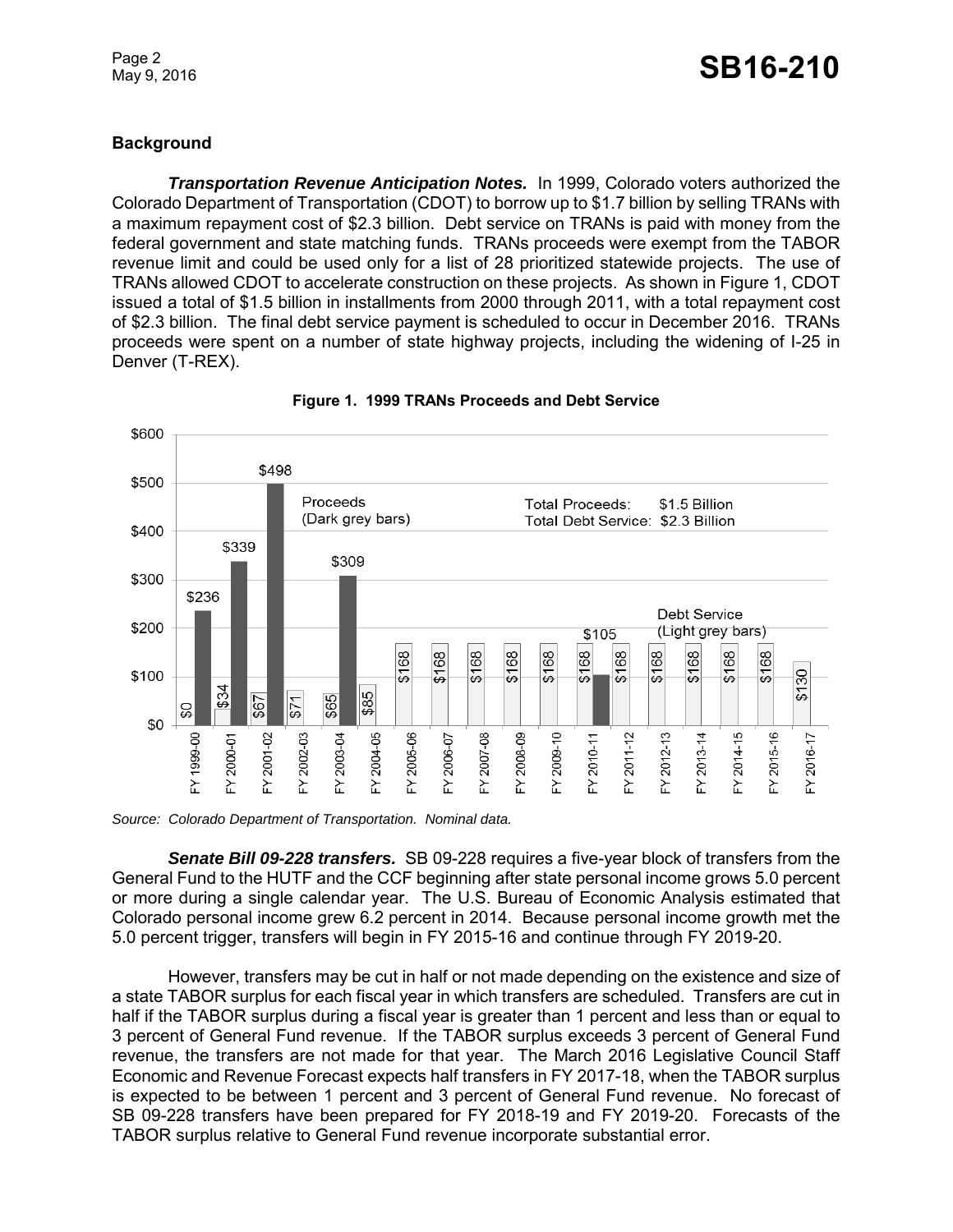Page 2

# **Background**

*Transportation Revenue Anticipation Notes.* In 1999, Colorado voters authorized the Colorado Department of Transportation (CDOT) to borrow up to \$1.7 billion by selling TRANs with a maximum repayment cost of \$2.3 billion. Debt service on TRANs is paid with money from the federal government and state matching funds. TRANs proceeds were exempt from the TABOR revenue limit and could be used only for a list of 28 prioritized statewide projects. The use of TRANs allowed CDOT to accelerate construction on these projects. As shown in Figure 1, CDOT issued a total of \$1.5 billion in installments from 2000 through 2011, with a total repayment cost of \$2.3 billion. The final debt service payment is scheduled to occur in December 2016. TRANs proceeds were spent on a number of state highway projects, including the widening of I-25 in Denver (T-REX).



**Figure 1. 1999 TRANs Proceeds and Debt Service**

*Source: Colorado Department of Transportation. Nominal data.*

*Senate Bill 09-228 transfers.* SB 09-228 requires a five-year block of transfers from the General Fund to the HUTF and the CCF beginning after state personal income grows 5.0 percent or more during a single calendar year. The U.S. Bureau of Economic Analysis estimated that Colorado personal income grew 6.2 percent in 2014. Because personal income growth met the 5.0 percent trigger, transfers will begin in FY 2015-16 and continue through FY 2019-20.

However, transfers may be cut in half or not made depending on the existence and size of a state TABOR surplus for each fiscal year in which transfers are scheduled. Transfers are cut in half if the TABOR surplus during a fiscal year is greater than 1 percent and less than or equal to 3 percent of General Fund revenue. If the TABOR surplus exceeds 3 percent of General Fund revenue, the transfers are not made for that year. The March 2016 Legislative Council Staff Economic and Revenue Forecast expects half transfers in FY 2017-18, when the TABOR surplus is expected to be between 1 percent and 3 percent of General Fund revenue. No forecast of SB 09-228 transfers have been prepared for FY 2018-19 and FY 2019-20. Forecasts of the TABOR surplus relative to General Fund revenue incorporate substantial error.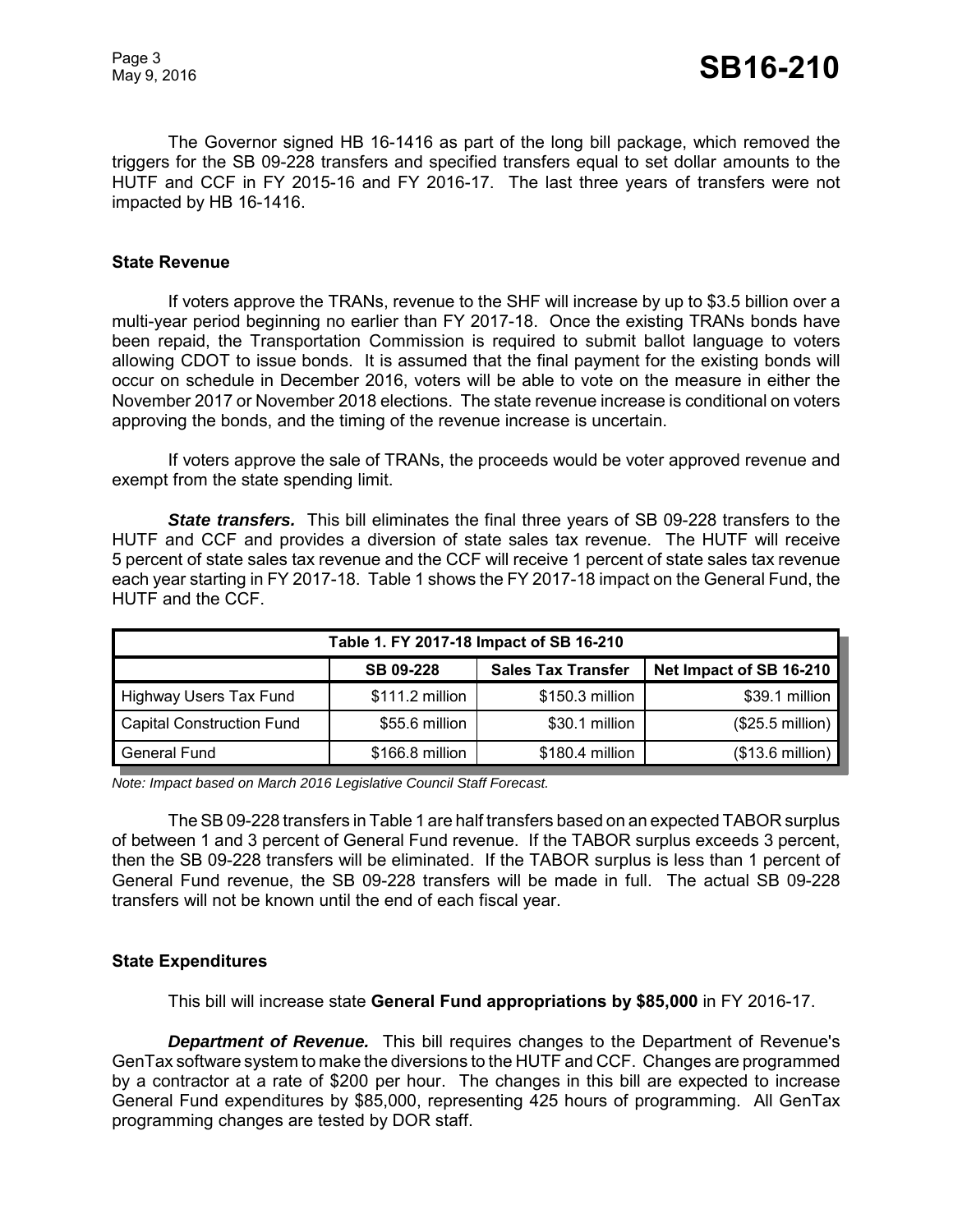The Governor signed HB 16-1416 as part of the long bill package, which removed the triggers for the SB 09-228 transfers and specified transfers equal to set dollar amounts to the HUTF and CCF in FY 2015-16 and FY 2016-17. The last three years of transfers were not impacted by HB 16-1416.

#### **State Revenue**

If voters approve the TRANs, revenue to the SHF will increase by up to \$3.5 billion over a multi-year period beginning no earlier than FY 2017-18. Once the existing TRANs bonds have been repaid, the Transportation Commission is required to submit ballot language to voters allowing CDOT to issue bonds. It is assumed that the final payment for the existing bonds will occur on schedule in December 2016, voters will be able to vote on the measure in either the November 2017 or November 2018 elections. The state revenue increase is conditional on voters approving the bonds, and the timing of the revenue increase is uncertain.

If voters approve the sale of TRANs, the proceeds would be voter approved revenue and exempt from the state spending limit.

*State transfers.* This bill eliminates the final three years of SB 09-228 transfers to the HUTF and CCF and provides a diversion of state sales tax revenue. The HUTF will receive 5 percent of state sales tax revenue and the CCF will receive 1 percent of state sales tax revenue each year starting in FY 2017-18. Table 1 shows the FY 2017-18 impact on the General Fund, the HUTF and the CCF.

| Table 1. FY 2017-18 Impact of SB 16-210 |                  |                           |                           |  |  |  |
|-----------------------------------------|------------------|---------------------------|---------------------------|--|--|--|
|                                         | <b>SB 09-228</b> | <b>Sales Tax Transfer</b> | Net Impact of SB 16-210   |  |  |  |
| <b>Highway Users Tax Fund</b>           | \$111.2 million  | \$150.3 million           | \$39.1 million            |  |  |  |
| <b>Capital Construction Fund</b>        | \$55.6 million   | \$30.1 million            | $($25.5 \text{ million})$ |  |  |  |
| <b>General Fund</b>                     | \$166.8 million  | $$180.4$ million          | (\$13.6 million)          |  |  |  |

*Note: Impact based on March 2016 Legislative Council Staff Forecast.*

The SB 09-228 transfers in Table 1 are half transfers based on an expected TABOR surplus of between 1 and 3 percent of General Fund revenue. If the TABOR surplus exceeds 3 percent, then the SB 09-228 transfers will be eliminated. If the TABOR surplus is less than 1 percent of General Fund revenue, the SB 09-228 transfers will be made in full. The actual SB 09-228 transfers will not be known until the end of each fiscal year.

#### **State Expenditures**

This bill will increase state **General Fund appropriations by \$85,000** in FY 2016-17.

*Department of Revenue.* This bill requires changes to the Department of Revenue's GenTax software system to make the diversions to the HUTF and CCF. Changes are programmed by a contractor at a rate of \$200 per hour. The changes in this bill are expected to increase General Fund expenditures by \$85,000, representing 425 hours of programming. All GenTax programming changes are tested by DOR staff.